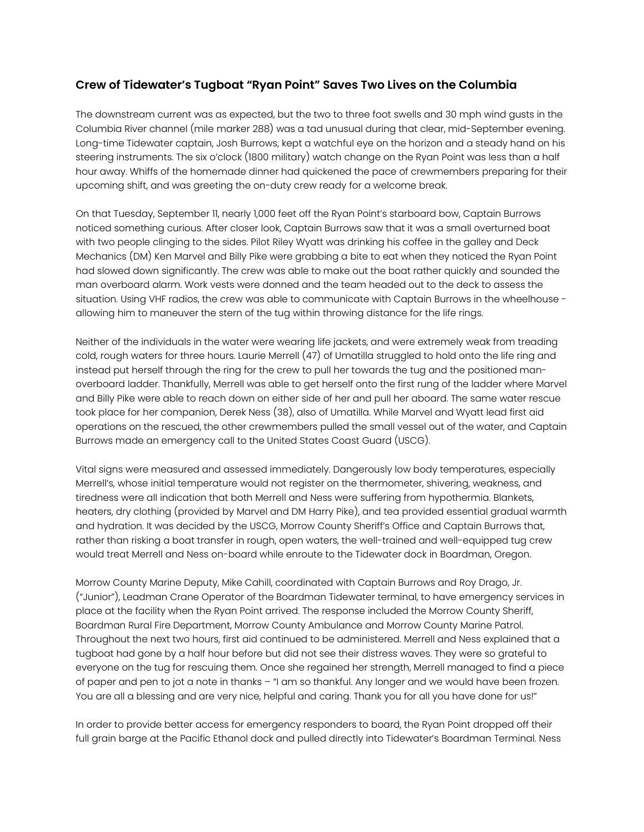## **Crew of Tidewater's Tugboat "Ryan Point" Saves Two Lives on the Columbia**

The downstream current was as expected, but the two to three foot swells and 30 mph wind gusts in the Columbia River channel (mile marker 288) was a tad unusual during that clear, mid-September evening. Long-time Tidewater captain, Josh Burrows, kept a watchful eye on the horizon and a steady hand on his steering instruments. The six o'clock (1800 military) watch change on the Ryan Point was less than a half hour away. Whiffs of the homemade dinner had quickened the pace of crewmembers preparing for their upcoming shift, and was greeting the on-duty crew ready for a welcome break.

On that Tuesday, September 11, nearly 1,000 feet off the Ryan Point's starboard bow, Captain Burrows noticed something curious. After closer look, Captain Burrows saw that it was a small overturned boat with two people clinging to the sides. Pilot Riley Wyatt was drinking his coffee in the galley and Deck Mechanics (DM) Ken Marvel and Billy Pike were grabbing a bite to eat when they noticed the Ryan Point had slowed down significantly. The crew was able to make out the boat rather quickly and sounded the man overboard alarm. Work vests were donned and the team headed out to the deck to assess the situation. Using VHF radios, the crew was able to communicate with Captain Burrows in the wheelhouse allowing him to maneuver the stern of the tug within throwing distance for the life rings.

Neither of the individuals in the water were wearing life jackets, and were extremely weak from treading cold, rough waters for three hours. Laurie Merrell (47) of Umatilla struggled to hold onto the life ring and instead put herself through the ring for the crew to pull her towards the tug and the positioned manoverboard ladder. Thankfully, Merrell was able to get herself onto the first rung of the ladder where Marvel and Billy Pike were able to reach down on either side of her and pull her aboard. The same water rescue took place for her companion, Derek Ness (38), also of Umatilla. While Marvel and Wyatt lead first aid operations on the rescued, the other crewmembers pulled the small vessel out of the water, and Captain Burrows made an emergency call to the United States Coast Guard (USCG).

Vital signs were measured and assessed immediately. Dangerously low body temperatures, especially Merrell's, whose initial temperature would not register on the thermometer, shivering, weakness, and tiredness were all indication that both Merrell and Ness were suffering from hypothermia. Blankets, heaters, dry clothing (provided by Marvel and DM Harry Pike), and tea provided essential gradual warmth and hydration. It was decided by the USCG, Morrow County Sheriff's Office and Captain Burrows that, rather than risking a boat transfer in rough, open waters, the well-trained and well-equipped tug crew would treat Merrell and Ness on-board while enroute to the Tidewater dock in Boardman, Oregon.

Morrow County Marine Deputy, Mike Cahill, coordinated with Captain Burrows and Roy Drago, Jr. ("Junior"), Leadman Crane Operator of the Boardman Tidewater terminal, to have emergency services in place at the facility when the Ryan Point arrived. The response included the Morrow County Sheriff, Boardman Rural Fire Department, Morrow County Ambulance and Morrow County Marine Patrol. Throughout the next two hours, first aid continued to be administered. Merrell and Ness explained that a tugboat had gone by a half hour before but did not see their distress waves. They were so grateful to everyone on the tug for rescuing them. Once she regained her strength, Merrell managed to find a piece of paper and pen to jot a note in thanks – "I am so thankful. Any longer and we would have been frozen. You are all a blessing and are very nice, helpful and caring. Thank you for all you have done for us!"

In order to provide better access for emergency responders to board, the Ryan Point dropped off their full grain barge at the Pacific Ethanol dock and pulled directly into Tidewater's Boardman Terminal. Ness